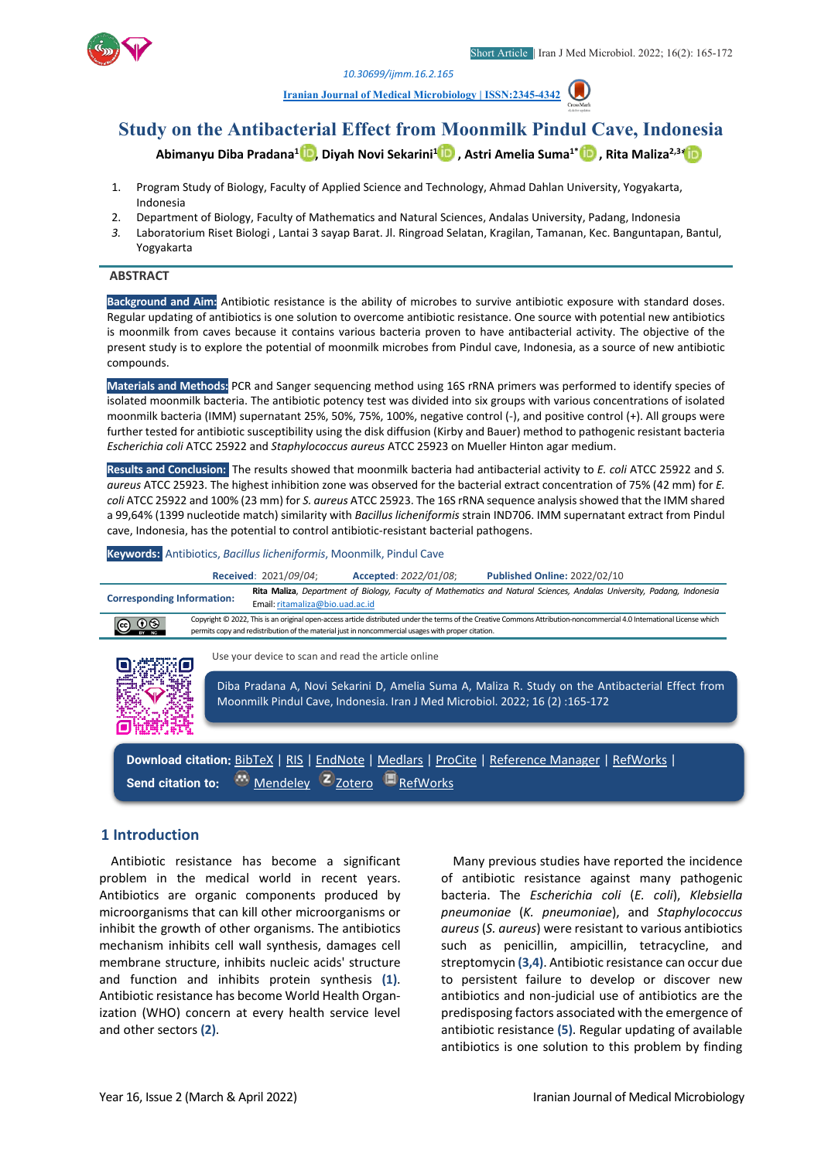*[10.30699/ijmm.16.2.165](http://dx.doi.org/10.30699/ijmm.16.2.165)*

**[Iranian Journal of Medical Microbiology | ISSN:2345-4342](https://ijmm.ir/)** 



# **Abimanyu Diba Pradana1 [,](http://orcid.org/0000-0002-2547-5964) Diyah Novi Sekarini[1](http://orcid.org/0000-0002-0395-2248) , Astri Amelia Suma1\*, Rita Maliza2,3[\\*](http://orcid.org/0000-0002-8494-314X)**

- 1. Program Study of Biology, Faculty of Applied Science and Technology, Ahmad Dahlan University, Yogyakarta, Indonesia
- 2. Department of Biology, Faculty of Mathematics and Natural Sciences, Andalas University, Padang, Indonesia
- *3.* Laboratorium Riset Biologi , Lantai 3 sayap Barat. Jl. Ringroad Selatan, Kragilan, Tamanan, Kec. Banguntapan, Bantul, Yogyakarta

#### **ABSTRACT**

**Background and Aim:** Antibiotic resistance is the ability of microbes to survive antibiotic exposure with standard doses. Regular updating of antibiotics is one solution to overcome antibiotic resistance. One source with potential new antibiotics is moonmilk from caves because it contains various bacteria proven to have antibacterial activity. The objective of the present study is to explore the potential of moonmilk microbes from Pindul cave, Indonesia, as a source of new antibiotic compounds.

**Materials and Methods:** PCR and Sanger sequencing method using 16S rRNA primers was performed to identify species of isolated moonmilk bacteria. The antibiotic potency test was divided into six groups with various concentrations of isolated moonmilk bacteria (IMM) supernatant 25%, 50%, 75%, 100%, negative control (-), and positive control (+). All groups were further tested for antibiotic susceptibility using the disk diffusion (Kirby and Bauer) method to pathogenic resistant bacteria *Escherichia coli* ATCC 25922 and *Staphylococcus aureus* ATCC 25923 on Mueller Hinton agar medium.

**Results and Conclusion:** The results showed that moonmilk bacteria had antibacterial activity to *E. coli* ATCC 25922 and *S. aureus* ATCC 25923. The highest inhibition zone was observed for the bacterial extract concentration of 75% (42 mm) for *E. coli* ATCC 25922 and 100% (23 mm) for *S. aureus* ATCC 25923. The 16S rRNA sequence analysis showed that the IMM shared a 99,64% (1399 nucleotide match) similarity with *Bacillus licheniformis* strain IND706. IMM supernatant extract from Pindul cave, Indonesia, has the potential to control antibiotic-resistant bacterial pathogens.

**Keywords:** Antibiotics, *Bacillus licheniformis*, Moonmilk, Pindul Cave



### **1 Introduction**

Antibiotic resistance has become a significant problem in the medical world in recent years. Antibiotics are organic components produced by microorganisms that can kill other microorganisms or inhibit the growth of other organisms. The antibiotics mechanism inhibits cell wall synthesis, damages cell membrane structure, inhibits nucleic acids' structure and function and inhibits protein synthesis **(1)**. Antibiotic resistance has become World Health Organization (WHO) concern at every health service level and other sectors **(2)**.

Many previous studies have reported the incidence of antibiotic resistance against many pathogenic bacteria. The *Escherichia coli* (*E. coli*), *Klebsiella pneumoniae* (*K. pneumoniae*), and *Staphylococcus aureus* (*S. aureus*) were resistant to various antibiotics such as penicillin, ampicillin, tetracycline, and streptomycin **(3,4)**. Antibiotic resistance can occur due to persistent failure to develop or discover new antibiotics and non-judicial use of antibiotics are the predisposing factors associated with the emergence of antibiotic resistance **(5)**. Regular updating of available antibiotics is one solution to this problem by finding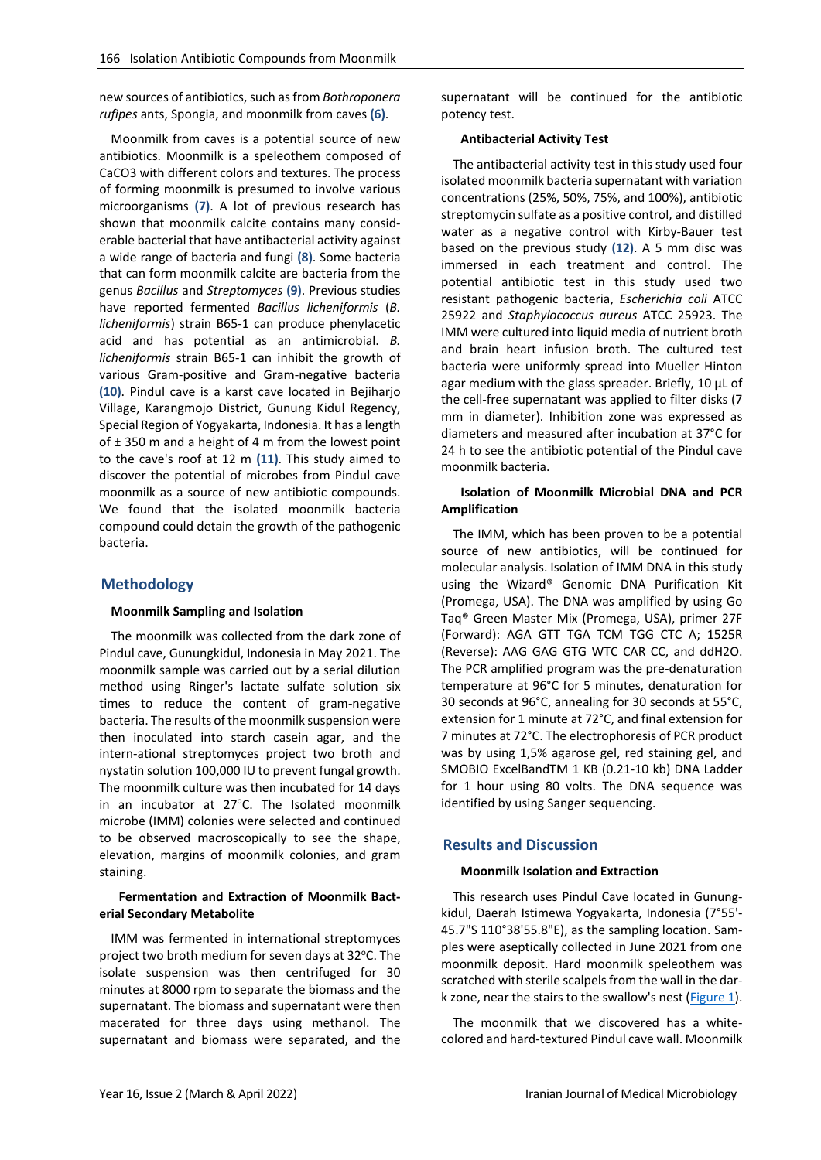new sources of antibiotics, such as from *Bothroponera rufipes* ants, Spongia, and moonmilk from caves **(6)**.

Moonmilk from caves is a potential source of new antibiotics. Moonmilk is a speleothem composed of CaCO3 with different colors and textures. The process of forming moonmilk is presumed to involve various microorganisms **(7)**. A lot of previous research has shown that moonmilk calcite contains many considerable bacterial that have antibacterial activity against a wide range of bacteria and fungi **(8)**. Some bacteria that can form moonmilk calcite are bacteria from the genus *Bacillus* and *Streptomyces* **(9)**. Previous studies have reported fermented *Bacillus licheniformis* (*B. licheniformis*) strain B65-1 can produce phenylacetic acid and has potential as an antimicrobial. *B. licheniformis* strain B65-1 can inhibit the growth of various Gram-positive and Gram-negative bacteria **(10)**. Pindul cave is a karst cave located in Bejiharjo Village, Karangmojo District, Gunung Kidul Regency, Special Region of Yogyakarta, Indonesia. It has a length of  $\pm$  350 m and a height of 4 m from the lowest point to the cave's roof at 12 m **(11)**. This study aimed to discover the potential of microbes from Pindul cave moonmilk as a source of new antibiotic compounds. We found that the isolated moonmilk bacteria compound could detain the growth of the pathogenic bacteria.

## **Methodology**

#### **Moonmilk Sampling and Isolation**

The moonmilk was collected from the dark zone of Pindul cave, Gunungkidul, Indonesia in May 2021. The moonmilk sample was carried out by a serial dilution method using Ringer's lactate sulfate solution six times to reduce the content of gram-negative bacteria. The results of the moonmilk suspension were then inoculated into starch casein agar, and the intern-ational streptomyces project two broth and nystatin solution 100,000 IU to prevent fungal growth. The moonmilk culture was then incubated for 14 days in an incubator at 27°C. The Isolated moonmilk microbe (IMM) colonies were selected and continued to be observed macroscopically to see the shape, elevation, margins of moonmilk colonies, and gram staining.

#### **Fermentation and Extraction of Moonmilk Bacterial Secondary Metabolite**

IMM was fermented in international streptomyces project two broth medium for seven days at 32°C. The isolate suspension was then centrifuged for 30 minutes at 8000 rpm to separate the biomass and the supernatant. The biomass and supernatant were then macerated for three days using methanol. The supernatant and biomass were separated, and the

supernatant will be continued for the antibiotic potency test.

#### **Antibacterial Activity Test**

The antibacterial activity test in this study used four isolated moonmilk bacteria supernatant with variation concentrations (25%, 50%, 75%, and 100%), antibiotic streptomycin sulfate as a positive control, and distilled water as a negative control with Kirby-Bauer test based on the previous study **(12)**. A 5 mm disc was immersed in each treatment and control. The potential antibiotic test in this study used two resistant pathogenic bacteria, *Escherichia coli* ATCC 25922 and *Staphylococcus aureus* ATCC 25923. The IMM were cultured into liquid media of nutrient broth and brain heart infusion broth. The cultured test bacteria were uniformly spread into Mueller Hinton agar medium with the glass spreader. Briefly, 10 µL of the cell-free supernatant was applied to filter disks (7 mm in diameter). Inhibition zone was expressed as diameters and measured after incubation at 37°C for 24 h to see the antibiotic potential of the Pindul cave moonmilk bacteria.

### **Isolation of Moonmilk Microbial DNA and PCR Amplification**

The IMM, which has been proven to be a potential source of new antibiotics, will be continued for molecular analysis. Isolation of IMM DNA in this study using the Wizard® Genomic DNA Purification Kit (Promega, USA). The DNA was amplified by using Go Taq® Green Master Mix (Promega, USA), primer 27F (Forward): AGA GTT TGA TCM TGG CTC A; 1525R (Reverse): AAG GAG GTG WTC CAR CC, and ddH2O. The PCR amplified program was the pre-denaturation temperature at 96°C for 5 minutes, denaturation for 30 seconds at 96°C, annealing for 30 seconds at 55°C, extension for 1 minute at 72°C, and final extension for 7 minutes at 72°C. The electrophoresis of PCR product was by using 1,5% agarose gel, red staining gel, and SMOBIO ExcelBandTM 1 KB (0.21-10 kb) DNA Ladder for 1 hour using 80 volts. The DNA sequence was identified by using Sanger sequencing.

## **Results and Discussion**

### **Moonmilk Isolation and Extraction**

This research uses Pindul Cave located in Gunungkidul, Daerah Istimewa Yogyakarta, Indonesia (7°55'- 45.7"S 110°38'55.8"E), as the sampling location. Samples were aseptically collected in June 2021 from one moonmilk deposit. Hard moonmilk speleothem was scratched with sterile scalpels from the wall in the dark zone, near the stairs to the swallow's nest [\(Figure 1\)](#page-2-0).

The moonmilk that we discovered has a whitecolored and hard-textured Pindul cave wall. Moonmilk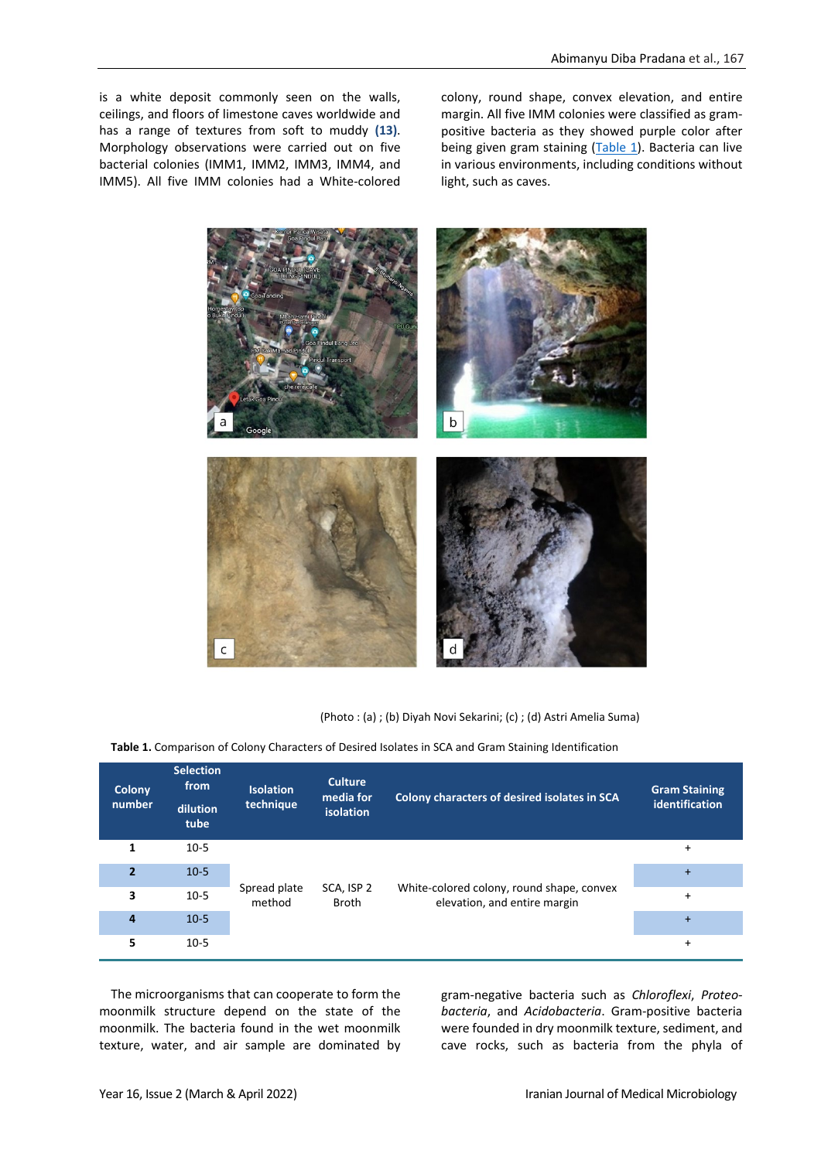is a white deposit commonly seen on the walls, ceilings, and floors of limestone caves worldwide and has a range of textures from soft to muddy **(13)**. Morphology observations were carried out on five bacterial colonies (IMM1, IMM2, IMM3, IMM4, and IMM5). All five IMM colonies had a White-colored colony, round shape, convex elevation, and entire margin. All five IMM colonies were classified as grampositive bacteria as they showed purple color after being given gram staining [\(Table 1\)](#page-2-1). Bacteria can live in various environments, including conditions without light, such as caves.



(Photo : (a) ; (b) Diyah Novi Sekarini; (c) ; (d) Astri Amelia Suma)

<span id="page-2-1"></span><span id="page-2-0"></span>**Table 1.** Comparison of Colony Characters of Desired Isolates in SCA and Gram Staining Identification

| Colony<br>number        | <b>Selection</b><br>from<br>dilution<br>tube | <b>Isolation</b><br>technique | <b>Culture</b><br>media for<br><b>isolation</b> | Colony characters of desired isolates in SCA                              | <b>Gram Staining</b><br>identification |
|-------------------------|----------------------------------------------|-------------------------------|-------------------------------------------------|---------------------------------------------------------------------------|----------------------------------------|
| 1                       | $10-5$                                       | Spread plate<br>method        | SCA, ISP 2<br><b>Broth</b>                      | White-colored colony, round shape, convex<br>elevation, and entire margin | +                                      |
| $\overline{\mathbf{z}}$ | $10-5$                                       |                               |                                                 |                                                                           | $+$                                    |
| 3                       | $10-5$                                       |                               |                                                 |                                                                           | $\ddot{}$                              |
| 4                       | $10-5$                                       |                               |                                                 |                                                                           | $+$                                    |
| 5                       | $10-5$                                       |                               |                                                 |                                                                           | +                                      |

The microorganisms that can cooperate to form the moonmilk structure depend on the state of the moonmilk. The bacteria found in the wet moonmilk texture, water, and air sample are dominated by

gram-negative bacteria such as *Chloroflexi*, *Proteobacteria*, and *Acidobacteria*. Gram-positive bacteria were founded in dry moonmilk texture, sediment, and cave rocks, such as bacteria from the phyla of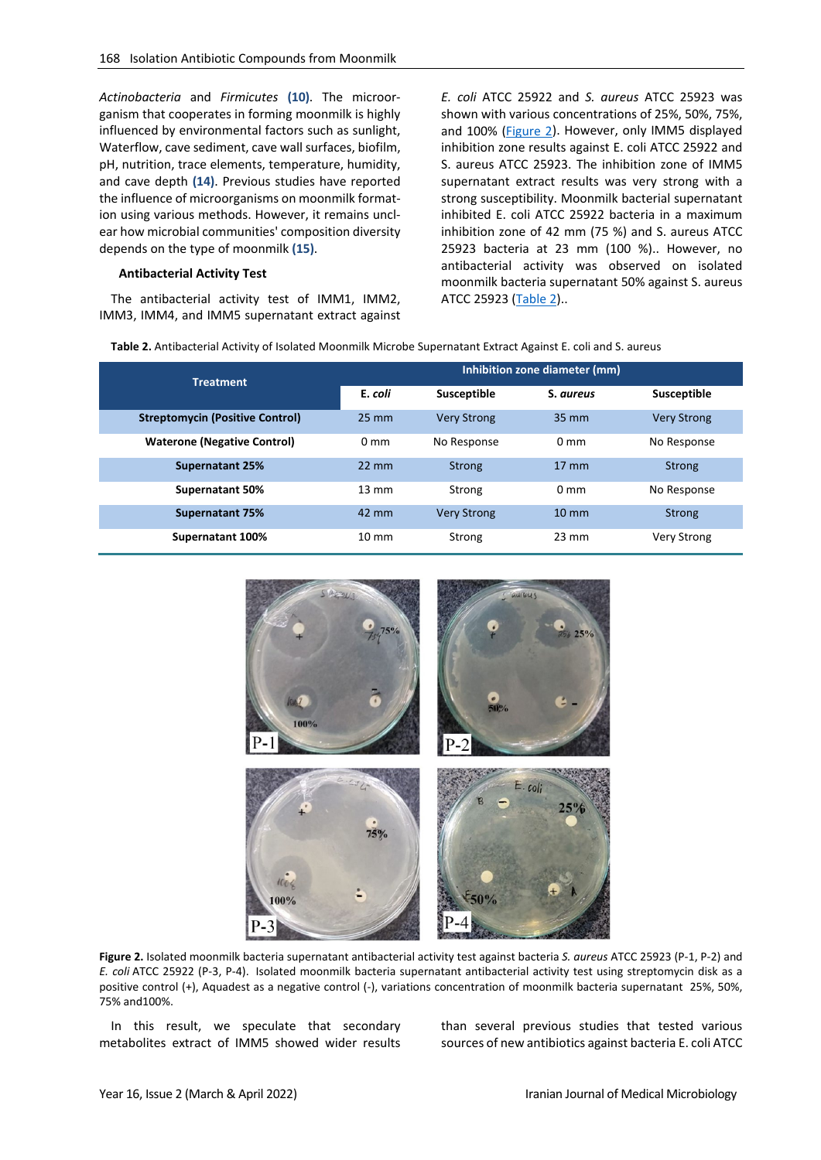*Actinobacteria* and *Firmicutes* **(10)**. The microorganism that cooperates in forming moonmilk is highly influenced by environmental factors such as sunlight, Waterflow, cave sediment, cave wall surfaces, biofilm, pH, nutrition, trace elements, temperature, humidity, and cave depth **(14)**. Previous studies have reported the influence of microorganisms on moonmilk formation using various methods. However, it remains unclear how microbial communities' composition diversity depends on the type of moonmilk **(15)**.

#### **Antibacterial Activity Test**

The antibacterial activity test of IMM1, IMM2, IMM3, IMM4, and IMM5 supernatant extract against *E. coli* ATCC 25922 and *S. aureus* ATCC 25923 was shown with various concentrations of 25%, 50%, 75%, and 100% [\(Figure 2\)](#page-3-0). However, only IMM5 displayed inhibition zone results against E. coli ATCC 25922 and S. aureus ATCC 25923. The inhibition zone of IMM5 supernatant extract results was very strong with a strong susceptibility. Moonmilk bacterial supernatant inhibited E. coli ATCC 25922 bacteria in a maximum inhibition zone of 42 mm (75 %) and S. aureus ATCC 25923 bacteria at 23 mm (100 %).. However, no antibacterial activity was observed on isolated moonmilk bacteria supernatant 50% against S. aureus ATCC 25923 [\(Table 2\)](#page-3-1)..

<span id="page-3-1"></span>**Table 2.** Antibacterial Activity of Isolated Moonmilk Microbe Supernatant Extract Against E. coli and S. aureus

| <b>Treatment</b>                       | Inhibition zone diameter (mm) |                    |                   |                    |  |
|----------------------------------------|-------------------------------|--------------------|-------------------|--------------------|--|
|                                        | E. coli                       | Susceptible        | S. aureus         | Susceptible        |  |
| <b>Streptomycin (Positive Control)</b> | $25 \text{ mm}$               | <b>Very Strong</b> | $35 \, \text{mm}$ | <b>Very Strong</b> |  |
| <b>Waterone (Negative Control)</b>     | 0 mm                          | No Response        | $0 \text{ mm}$    | No Response        |  |
| <b>Supernatant 25%</b>                 | $22 \text{ mm}$               | Strong             | $17 \text{ mm}$   | Strong             |  |
| <b>Supernatant 50%</b>                 | $13 \text{ mm}$               | Strong             | $0 \text{ mm}$    | No Response        |  |
| Supernatant 75%                        | $42 \text{ mm}$               | <b>Very Strong</b> | $10 \text{ mm}$   | Strong             |  |
| Supernatant 100%                       | $10 \text{ mm}$               | Strong             | $23 \text{ mm}$   | <b>Very Strong</b> |  |



<span id="page-3-0"></span>**Figure 2.** Isolated moonmilk bacteria supernatant antibacterial activity test against bacteria *S. aureus* ATCC 25923 (P-1, P-2) and *E. coli* ATCC 25922 (P-3, P-4). Isolated moonmilk bacteria supernatant antibacterial activity test using streptomycin disk as a positive control (+), Aquadest as a negative control (-), variations concentration of moonmilk bacteria supernatant 25%, 50%, 75% and100%.

In this result, we speculate that secondary metabolites extract of IMM5 showed wider results than several previous studies that tested various sources of new antibiotics against bacteria E. coli ATCC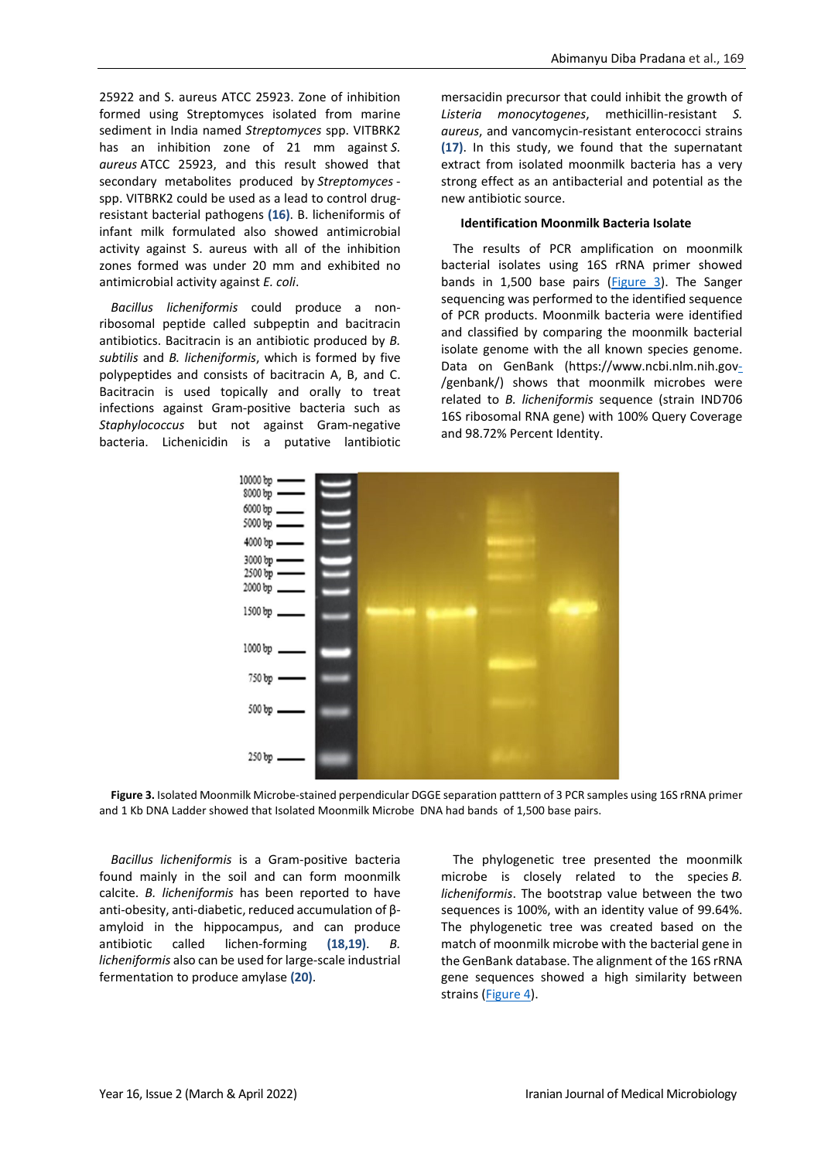25922 and S. aureus ATCC 25923. Zone of inhibition formed using Streptomyces isolated from marine sediment in India named *Streptomyces* spp. VITBRK2 has an inhibition zone of 21 mm against *S. aureus* ATCC 25923, and this result showed that secondary metabolites produced by *Streptomyces* spp. VITBRK2 could be used as a lead to control drugresistant bacterial pathogens **(16)**. B. licheniformis of infant milk formulated also showed antimicrobial activity against S. aureus with all of the inhibition zones formed was under 20 mm and exhibited no antimicrobial activity against *E. coli*.

*Bacillus licheniformis* could produce a nonribosomal peptide called subpeptin and bacitracin antibiotics. Bacitracin is an antibiotic produced by *B. subtilis* and *B. licheniformis*, which is formed by five polypeptides and consists of bacitracin A, B, and C. Bacitracin is used topically and orally to treat infections against Gram-positive bacteria such as *Staphylococcus* but not against Gram-negative bacteria. Lichenicidin is a putative lantibiotic mersacidin precursor that could inhibit the growth of *Listeria monocytogenes*, methicillin-resistant *S. aureus*, and vancomycin-resistant enterococci strains **(17)**. In this study, we found that the supernatant extract from isolated moonmilk bacteria has a very strong effect as an antibacterial and potential as the new antibiotic source.

#### **Identification Moonmilk Bacteria Isolate**

The results of PCR amplification on moonmilk bacterial isolates using 16S rRNA primer showed bands in 1,500 base pairs [\(Figure 3\)](#page-4-0). The Sanger sequencing was performed to the identified sequence of PCR products. Moonmilk bacteria were identified and classified by comparing the moonmilk bacterial isolate genome with the all known species genome. Data on GenBank (https://www.ncbi.nlm.nih.gov-/genbank/) shows that moonmilk microbes were related to *B. licheniformis* sequence (strain IND706 16S ribosomal RNA gene) with 100% Query Coverage and 98.72% Percent Identity.



<span id="page-4-0"></span>**Figure 3.** Isolated Moonmilk Microbe-stained perpendicular DGGE separation patttern of 3 PCR samples using 16S rRNA primer and 1 Kb DNA Ladder showed that Isolated Moonmilk Microbe DNA had bands of 1,500 base pairs.

*Bacillus licheniformis* is a Gram-positive bacteria found mainly in the soil and can form moonmilk calcite. *B. licheniformis* has been reported to have anti-obesity, anti-diabetic, reduced accumulation of βamyloid in the hippocampus, and can produce antibiotic called lichen-forming **(18,19)**. *B. licheniformis* also can be used for large-scale industrial fermentation to produce amylase **(20)**.

The phylogenetic tree presented the moonmilk microbe is closely related to the species *B. licheniformis*. The bootstrap value between the two sequences is 100%, with an identity value of 99.64%. The phylogenetic tree was created based on the match of moonmilk microbe with the bacterial gene in the GenBank database. The alignment of the 16S rRNA gene sequences showed a high similarity between strains [\(Figure 4\)](#page-5-0).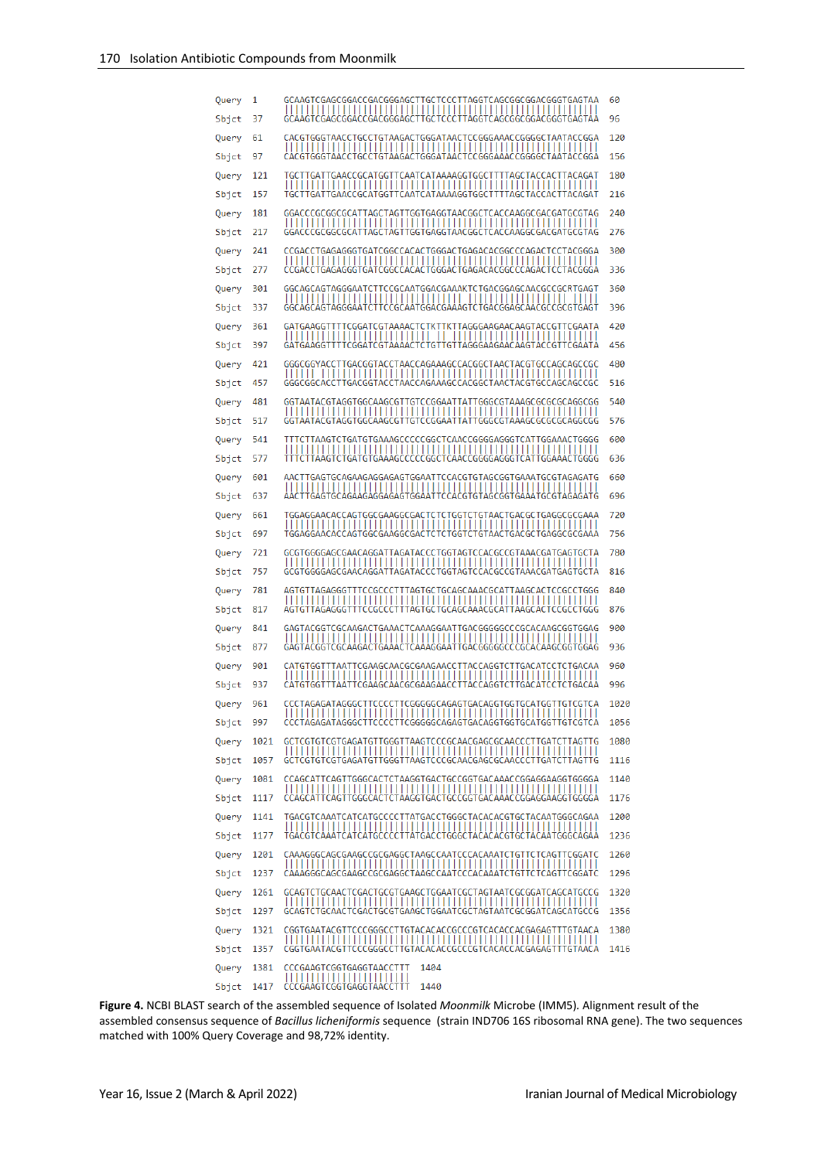| Query          | 1            | GCAAGTCGAGCGGACCGACGGGAGCTTGCTCCCTTAGGTCAGCGGCGGACGGGTGAGTAA                                                                 | 60           |
|----------------|--------------|------------------------------------------------------------------------------------------------------------------------------|--------------|
| Sbjct          | 37           | GCAAGTCGAGCGGACCGACGGGAGCTTGCTCCCTTAGGTCAGCGGCGGACGGTGAGTAA                                                                  | 96           |
| Query          | 61           | CACGTGGGTAACCTGCCTGTAAGACTGGGATAACTCCGGGAAACCGGGGCTAATACCGGA                                                                 | 120          |
| Sbjct          | 97           | CACGTGGGTAACCTGCCTGTAAGACTGGGATAACTCCGGGAAACCGGGGCTAATACCGGA                                                                 | 156          |
| Query          | 121          | TGCTTGATTGAACCGCATGGTTCAATCATAAAAGGTGGCTTTTAGCTACCACTTACAGAT                                                                 | 180          |
| Sbjct          | 157          | TGCTTGATTGAACCGCATGGTTCAATCATAAAAGGTGGCTTTTAGCTACCACTTACAGAT                                                                 | 216          |
| Query          | 181          | GGACCCGCGGCGCATTAGCTAGTTGGTGAGGTAACGGCTCACCAAGGCGACGATGCGTAG                                                                 | 240          |
| Sbjct          | 217          | GGACCCGCGGCGCATTAGCTAGTTGGTGAGGTAACGGCTCACCAAGGCGACGATGCGTAG                                                                 | 276          |
| Query<br>Sbjct | 241<br>277   | CCGACCTGAGAGGGTGATCGGCCACACTGGGACTGAGACACGGCCCAGACTCCTACGGGA<br>CCGACCTGAGAGGGTGATCGGCCACACTGGGACTGAGACACGGCCCAGACTCCTACGGGA | 300<br>336   |
| Query          | 301          | GGCAGCAGTAGGGAATCTTCCGCAATGGACGAAAKTCTGACGGAGCAACGCCGCRTGAGT                                                                 | 360          |
| Sbjct          | 337          | ------<br>GGCAGCAGTAGGGAATCTTCCGCAATGGACGAAAGTCTGACGGAGCAACGCCGCGTGAGT                                                       | 396          |
| Query          | 361          | GATGAAGGTTTTCGGATCGTAAAACTCTKTTKTTAGGGAAGAACAAGTACCGTTCGAATA                                                                 | 420          |
| Sbjct          | 397          | GATGAAGGTTTTCGGATCGTAAAACTCTGTTGTTAGGGAAGAACAAGTACCGTTCGAATA                                                                 | 456          |
| Query          | 421          | GGGCGGYACCTTGACGGTACCTAACCAGAAAGCCACGGCTAACTACGTGCCAGCAGCCGC                                                                 | 480          |
| Sbjct          | 457          | GGGCGGCACCTTGACGGTACCTAACCAGAAAGCCACGGCTAACTACGTGCCAGCAGCCGC                                                                 | 516          |
| Query          | 481          |                                                                                                                              | 540          |
| Sbjct          | 517          |                                                                                                                              | 576          |
| Query<br>Sbjct | 541<br>577   | TTTCTTAAGTCTGATGTGAAAGCCCCCGGCTCAACCGGGAGGGTCATTGGAAACTGGGG<br>TTTCTTAAGTCTGATGTGAAAGCCCCCGGCTCAACCGGGGAGGGTCATTGGAAACTGGGG  | 600<br>636   |
| Query          | 601          | AACTTGAGTGCAGAAGAGGAGAGTGGAATTCCACGTGTAGCGGTGAAATGCGTAGAGATG                                                                 | 660          |
| Sbjct          | 637          | AACTTGAGTGCAGAAGAGGAGAGTGGAATTCCACGTGTAGCGGTGAAATGCGTAGAGATG                                                                 | 696          |
| Query          | 661          | TGGAGGAACACCAGTGGCGAAGGCGACTCTCTGGTCTGTAACTGACGCTGAGGCGCGAAA                                                                 | 720          |
| Sbjct          | 697          | TGGAGGAACACCAGTGGCGAAGGCGACTCTCTGGTCTGTAACTGACGCTGAGGCGCGAAA                                                                 | 756          |
| Query          | 721          | GCGTGGGGAGCGAACAGGATTAGATACCCTGGTAGTCCACGCCGTAAACGATGAGTGCTA                                                                 | 780          |
| Sbjct          | 757          | GCGTGGGGAGCGAACAGGATTAGATACCCTGGTAGTCCACGCCGTAAACGATGAGTGCTA                                                                 | 816          |
| Query          | 781          | AGTGTTAGAGGGTTTCCGCCCTTTAGTGCTGCAGCAAACGCATTAAGCACTCCGCCTGGG                                                                 | 840          |
| Sbjct          | 817          | AGTGTTAGAGGGTTTCCGCCCTTTAGTGCTGCAGCAAACGCATTAAGCACTCCGCCTGGG<br>GAGTACGGTCGCAAGACTGAAACTCAAAGGAATTGACGGGGGCCCGCACAAGCGGTGGAG | 876<br>900   |
| Query<br>Sbjct | 841<br>877   | GAGTACGGTCGCAAGACTGAAACTCAAAGGAATTGACGGGGGCCCGCACAAGCGGTGGAG                                                                 | 936          |
| Query          | 901          | CATGTGGTTTAATTCGAAGCAACGCGAAGAACCTTACCAGGTCTTGACATCCTCTGACAA                                                                 | 960          |
| Sbjct          | 937          | CATGTGGTTTAATTCGAAGCAACGCGAAGAACCTTACCAGGTCTTGACATCCTCTGACAA                                                                 | 996          |
| Query          | 961          | CCCTAGAGATAGGGCTTCCCCTTCGGGGGCAGAGTGACAGGTGGTGCATGGTTGTCGTCA                                                                 | 1020         |
| Sbjct          | 997          | 111111<br>,,,,,,,,,,,,,<br>,,,,,,,,,,,,,,,,,,,,<br>CCCTAGAGATAGGGCTTCCCCTTCGGGGGCAGAGTGACAGGTGGTGCATGGTTGTCGTCA              | 1056         |
| Query          | 1021         | GCTCGTGTCGTGAGATGTTGGGTTAAGTCCCGCAACGAGCGCAACCCTTGATCTTAGTTG                                                                 | 1080         |
| Sbjct          | 1057         | GCTCGTGTCGTGAGATGTTGGGTTAAGTCCCGCAACGAGCGCAACCCTTGATCTTAGTTG                                                                 | 1116         |
| Query          | 1081         | CCAGCATTCAGTTGGGCACTCTAAGGTGACTGCCGGTGACAAACCGGAGGAAGGTGGGGA                                                                 | 1140         |
| Sbjct<br>Query | 1117<br>1141 | CCAGCATTCAGTTGGGCACTCTAAGGTGACTGCCGGTGACAAACCGGAGGAAGGTGGGGA<br>TGACGTCAAATCATCATGCCCCTTATGACCTGGGCTACACACGTGCTACAATGGGCAGAA | 1176<br>1200 |
| Sbjct          | 1177         | TGACGTCAAATCATCATGCCCCTTATGACCTGGGCTACACACGTGCTACAATGGGCAGAA                                                                 | 1236         |
| Query          | 1201         | CAAAGGGCAGCGAAGCCGCGAGGCTAAGCCAATCCCACAAATCTGTTCTCAGTTCGGATC                                                                 | 1260         |
| Sbjct          | 1237         | CAAAGGGCAGCGAAGCCGCGAGGCTAAGCCAATCCCACAAATCTGTTCTCAGTTCGGATC                                                                 | 1296         |
| Query          | 1261         | GCAGTCTGCAACTCGACTGCGTGAAGCTGGAATCGCTAGTAATCGCGGATCAGCATGCCG                                                                 | 1320         |
| Sbjct          | 1297         | GCAGTCTGCAACTCGACTGCGTGAAGCTGGAATCGCTAGTAATCGCGGATCAGCATGCCG                                                                 | 1356         |
| Query          | 1321         | CGGTGAATACGTTCCCGGGCCTTGTACACACCGCCCGTCACACCACGAGAGTTTGTAACA                                                                 | 1380         |
| Sbjct          | 1357         | CGGTGAATACGTTCCCGGGCCTTGTACACACCGCCCGTCACACCACGAGAGTTTGTAACA                                                                 | 1416         |
| Query          | 1381         | CCCGAAGTCGGTGAGGTAACCTTT<br>1404<br>,,,,,,,,,,,,,,,,,,,,,,,,,                                                                |              |
| Sbjct          | 1417         | 1440<br>CCCGAAGTCGGTGAGGTAACCTTT                                                                                             |              |

<span id="page-5-0"></span>**Figure 4.** NCBI BLAST search of the assembled sequence of Isolated *Moonmilk* Microbe (IMM5)*.* Alignment result of the assembled consensus sequence of *Bacillus licheniformis* sequence (strain IND706 16S ribosomal RNA gene). The two sequences matched with 100% Query Coverage and 98,72% identity.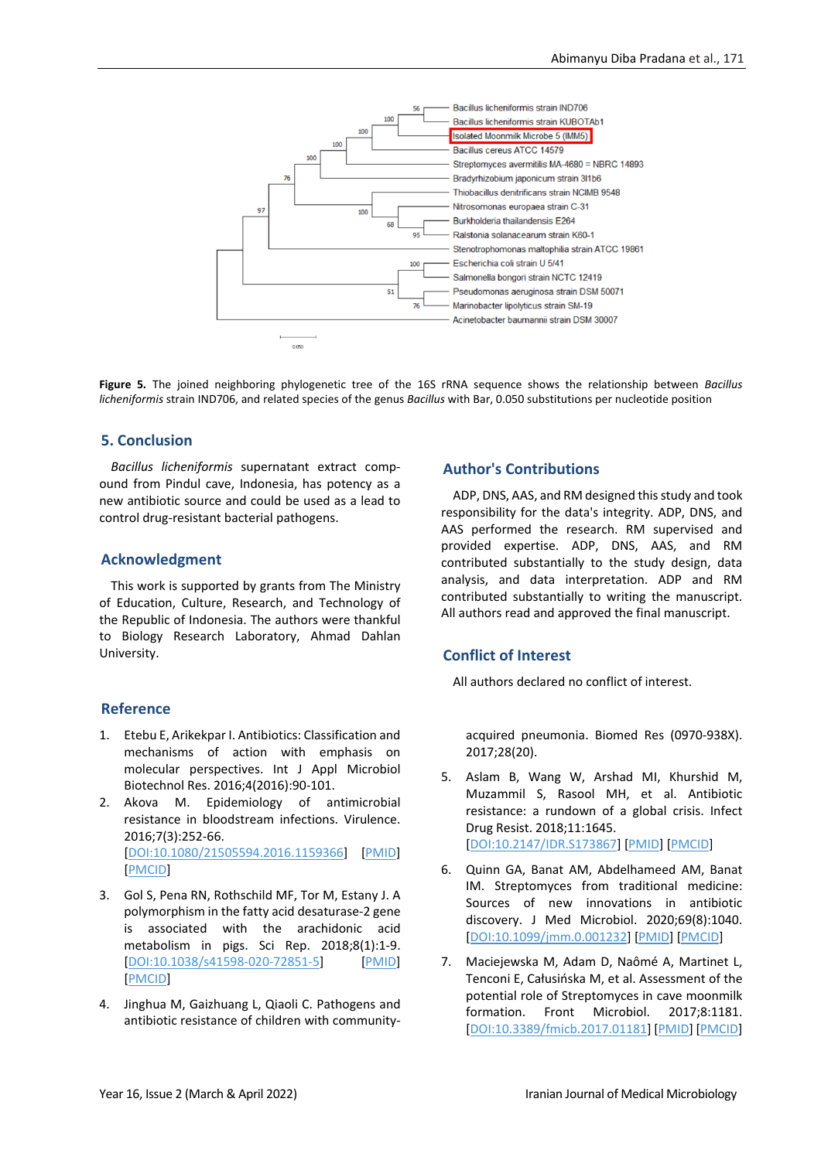

**Figure 5***.* The joined neighboring phylogenetic tree of the 16S rRNA sequence shows the relationship between *Bacillus licheniformis* strain IND706, and related species of the genus *Bacillus* with Bar, 0.050 substitutions per nucleotide position

### **5. Conclusion**

*Bacillus licheniformis* supernatant extract compound from Pindul cave, Indonesia, has potency as a new antibiotic source and could be used as a lead to control drug-resistant bacterial pathogens.

#### **Acknowledgment**

This work is supported by grants from The Ministry of Education, Culture, Research, and Technology of the Republic of Indonesia. The authors were thankful to Biology Research Laboratory, Ahmad Dahlan University.

### **Reference**

- 1. Etebu E, Arikekpar I. Antibiotics: Classification and mechanisms of action with emphasis on molecular perspectives. Int J Appl Microbiol Biotechnol Res. 2016;4(2016):90-101.
- 2. Akova M. Epidemiology of antimicrobial resistance in bloodstream infections. Virulence. 2016;7(3):252-66. [\[DOI:10.1080/21505594.2016.1159366\]](https://doi.org/10.1080/21505594.2016.1159366) [\[PMID\]](https://www.ncbi.nlm.nih.gov/pubmed/26984779) [\[PMCID\]](http://www.ncbi.nlm.nih.gov/pmc/articles/PMC4871634)
- 3. Gol S, Pena RN, Rothschild MF, Tor M, Estany J. A polymorphism in the fatty acid desaturase-2 gene is associated with the arachidonic acid metabolism in pigs. Sci Rep. 2018;8(1):1-9. [\[DOI:10.1038/s41598-020-72851-5\]](https://doi.org/10.1038/s41598-020-72851-5) [\[PMID\]](https://www.ncbi.nlm.nih.gov/pubmed/33051473) [\[PMCID\]](http://www.ncbi.nlm.nih.gov/pmc/articles/PMC7553926)
- 4. Jinghua M, Gaizhuang L, Qiaoli C. Pathogens and antibiotic resistance of children with community-

### **Author's Contributions**

ADP, DNS, AAS, and RM designed this study and took responsibility for the data's integrity. ADP, DNS, and AAS performed the research. RM supervised and provided expertise. ADP, DNS, AAS, and RM contributed substantially to the study design, data analysis, and data interpretation. ADP and RM contributed substantially to writing the manuscript. All authors read and approved the final manuscript.

### **Conflict of Interest**

All authors declared no conflict of interest.

acquired pneumonia. Biomed Res (0970-938X). 2017;28(20).

- 5. Aslam B, Wang W, Arshad MI, Khurshid M, Muzammil S, Rasool MH, et al. Antibiotic resistance: a rundown of a global crisis. Infect Drug Resist. 2018;11:1645. [\[DOI:10.2147/IDR.S173867\]](https://doi.org/10.2147/IDR.S173867) [\[PMID\]](https://www.ncbi.nlm.nih.gov/pubmed/30349322) [\[PMCID\]](http://www.ncbi.nlm.nih.gov/pmc/articles/PMC6188119)
- 6. Quinn GA, Banat AM, Abdelhameed AM, Banat IM. Streptomyces from traditional medicine: Sources of new innovations in antibiotic discovery. J Med Microbiol. 2020;69(8):1040. [\[DOI:10.1099/jmm.0.001232\]](https://doi.org/10.1099/jmm.0.001232) [\[PMID\]](https://www.ncbi.nlm.nih.gov/pubmed/32692643) [\[PMCID\]](http://www.ncbi.nlm.nih.gov/pmc/articles/PMC7642979)
- 7. Maciejewska M, Adam D, Naômé A, Martinet L, Tenconi E, Całusińska M, et al. Assessment of the potential role of Streptomyces in cave moonmilk formation. Front Microbiol. 2017;8:1181. [\[DOI:10.3389/fmicb.2017.01181\]](https://doi.org/10.3389/fmicb.2017.01181) [\[PMID\]](https://www.ncbi.nlm.nih.gov/pubmed/28706508) [\[PMCID\]](http://www.ncbi.nlm.nih.gov/pmc/articles/PMC5489568)